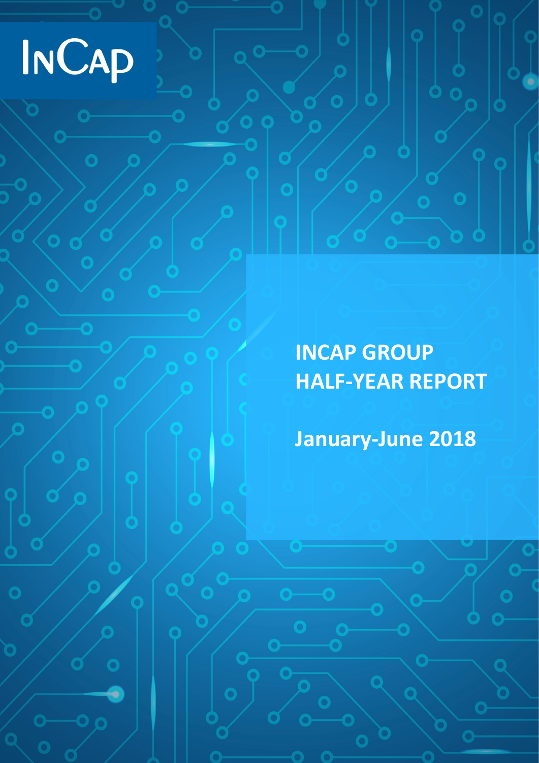# INCAP

**INCAP GROUP HALF-YEAR REPORT**

**January-June 2018**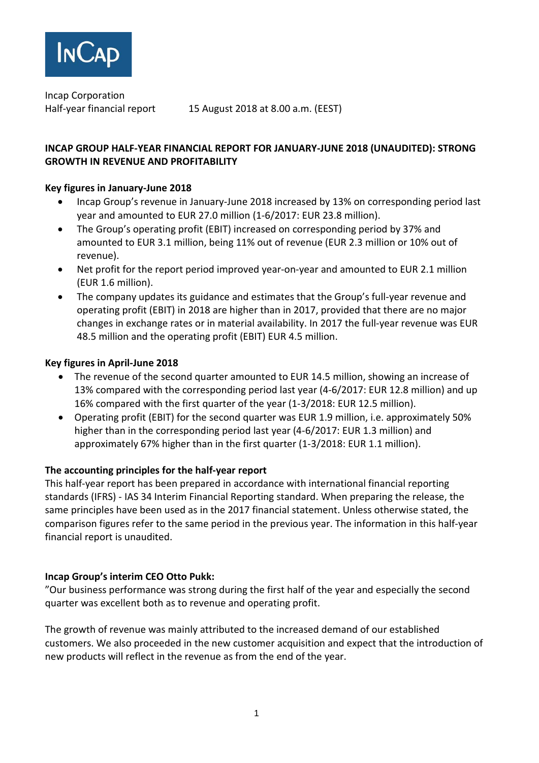

Incap Corporation

Half-year financial report 15 August 2018 at 8.00 a.m. (EEST)

#### **INCAP GROUP HALF-YEAR FINANCIAL REPORT FOR JANUARY-JUNE 2018 (UNAUDITED): STRONG GROWTH IN REVENUE AND PROFITABILITY**

#### **Key figures in January-June 2018**

- Incap Group's revenue in January-June 2018 increased by 13% on corresponding period last year and amounted to EUR 27.0 million (1-6/2017: EUR 23.8 million).
- The Group's operating profit (EBIT) increased on corresponding period by 37% and amounted to EUR 3.1 million, being 11% out of revenue (EUR 2.3 million or 10% out of revenue).
- Net profit for the report period improved year-on-year and amounted to EUR 2.1 million (EUR 1.6 million).
- The company updates its guidance and estimates that the Group's full-year revenue and operating profit (EBIT) in 2018 are higher than in 2017, provided that there are no major changes in exchange rates or in material availability. In 2017 the full-year revenue was EUR 48.5 million and the operating profit (EBIT) EUR 4.5 million.

#### **Key figures in April-June 2018**

- The revenue of the second quarter amounted to EUR 14.5 million, showing an increase of 13% compared with the corresponding period last year (4-6/2017: EUR 12.8 million) and up 16% compared with the first quarter of the year (1-3/2018: EUR 12.5 million).
- Operating profit (EBIT) for the second quarter was EUR 1.9 million, i.e. approximately 50% higher than in the corresponding period last year (4-6/2017: EUR 1.3 million) and approximately 67% higher than in the first quarter (1-3/2018: EUR 1.1 million).

#### **The accounting principles for the half-year report**

This half-year report has been prepared in accordance with international financial reporting standards (IFRS) - IAS 34 Interim Financial Reporting standard. When preparing the release, the same principles have been used as in the 2017 financial statement. Unless otherwise stated, the comparison figures refer to the same period in the previous year. The information in this half-year financial report is unaudited.

#### **Incap Group's interim CEO Otto Pukk:**

"Our business performance was strong during the first half of the year and especially the second quarter was excellent both as to revenue and operating profit.

The growth of revenue was mainly attributed to the increased demand of our established customers. We also proceeded in the new customer acquisition and expect that the introduction of new products will reflect in the revenue as from the end of the year.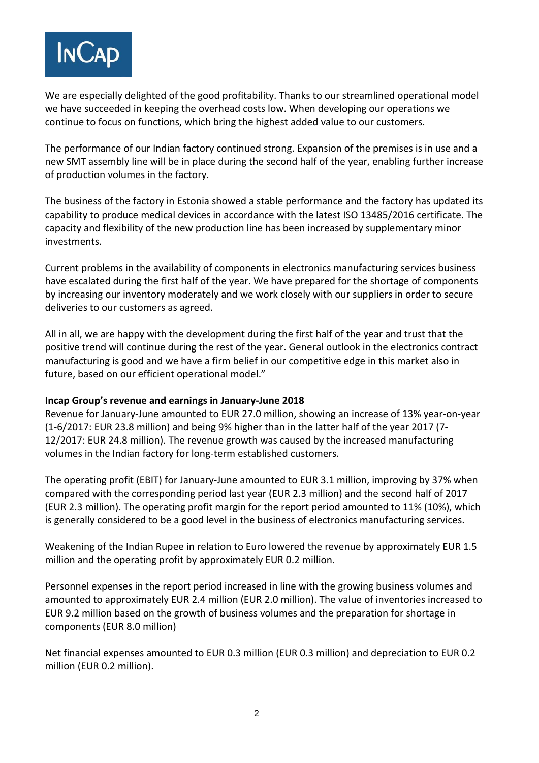

We are especially delighted of the good profitability. Thanks to our streamlined operational model we have succeeded in keeping the overhead costs low. When developing our operations we continue to focus on functions, which bring the highest added value to our customers.

The performance of our Indian factory continued strong. Expansion of the premises is in use and a new SMT assembly line will be in place during the second half of the year, enabling further increase of production volumes in the factory.

The business of the factory in Estonia showed a stable performance and the factory has updated its capability to produce medical devices in accordance with the latest ISO 13485/2016 certificate. The capacity and flexibility of the new production line has been increased by supplementary minor investments.

Current problems in the availability of components in electronics manufacturing services business have escalated during the first half of the year. We have prepared for the shortage of components by increasing our inventory moderately and we work closely with our suppliers in order to secure deliveries to our customers as agreed.

All in all, we are happy with the development during the first half of the year and trust that the positive trend will continue during the rest of the year. General outlook in the electronics contract manufacturing is good and we have a firm belief in our competitive edge in this market also in future, based on our efficient operational model."

#### **Incap Group's revenue and earnings in January-June 2018**

Revenue for January-June amounted to EUR 27.0 million, showing an increase of 13% year-on-year (1-6/2017: EUR 23.8 million) and being 9% higher than in the latter half of the year 2017 (7- 12/2017: EUR 24.8 million). The revenue growth was caused by the increased manufacturing volumes in the Indian factory for long-term established customers.

The operating profit (EBIT) for January-June amounted to EUR 3.1 million, improving by 37% when compared with the corresponding period last year (EUR 2.3 million) and the second half of 2017 (EUR 2.3 million). The operating profit margin for the report period amounted to 11% (10%), which is generally considered to be a good level in the business of electronics manufacturing services.

Weakening of the Indian Rupee in relation to Euro lowered the revenue by approximately EUR 1.5 million and the operating profit by approximately EUR 0.2 million.

Personnel expenses in the report period increased in line with the growing business volumes and amounted to approximately EUR 2.4 million (EUR 2.0 million). The value of inventories increased to EUR 9.2 million based on the growth of business volumes and the preparation for shortage in components (EUR 8.0 million)

Net financial expenses amounted to EUR 0.3 million (EUR 0.3 million) and depreciation to EUR 0.2 million (EUR 0.2 million).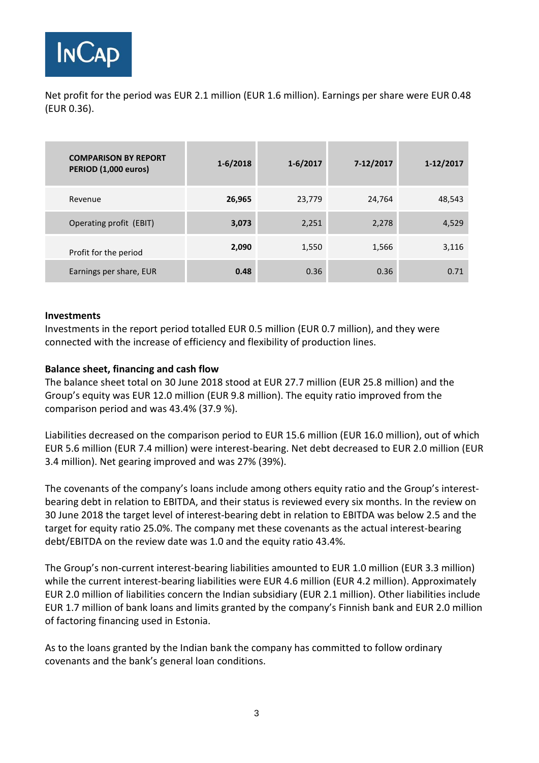

Net profit for the period was EUR 2.1 million (EUR 1.6 million). Earnings per share were EUR 0.48 (EUR 0.36).

| <b>COMPARISON BY REPORT</b><br>PERIOD (1,000 euros) | $1-6/2018$ | $1 - 6/2017$ | 7-12/2017 | 1-12/2017 |
|-----------------------------------------------------|------------|--------------|-----------|-----------|
| Revenue                                             | 26,965     | 23,779       | 24,764    | 48,543    |
| Operating profit (EBIT)                             | 3,073      | 2,251        | 2,278     | 4,529     |
| Profit for the period                               | 2,090      | 1,550        | 1,566     | 3,116     |
| Earnings per share, EUR                             | 0.48       | 0.36         | 0.36      | 0.71      |

#### **Investments**

Investments in the report period totalled EUR 0.5 million (EUR 0.7 million), and they were connected with the increase of efficiency and flexibility of production lines.

#### **Balance sheet, financing and cash flow**

The balance sheet total on 30 June 2018 stood at EUR 27.7 million (EUR 25.8 million) and the Group's equity was EUR 12.0 million (EUR 9.8 million). The equity ratio improved from the comparison period and was 43.4% (37.9 %).

Liabilities decreased on the comparison period to EUR 15.6 million (EUR 16.0 million), out of which EUR 5.6 million (EUR 7.4 million) were interest-bearing. Net debt decreased to EUR 2.0 million (EUR 3.4 million). Net gearing improved and was 27% (39%).

The covenants of the company's loans include among others equity ratio and the Group's interestbearing debt in relation to EBITDA, and their status is reviewed every six months. In the review on 30 June 2018 the target level of interest-bearing debt in relation to EBITDA was below 2.5 and the target for equity ratio 25.0%. The company met these covenants as the actual interest-bearing debt/EBITDA on the review date was 1.0 and the equity ratio 43.4%.

The Group's non-current interest-bearing liabilities amounted to EUR 1.0 million (EUR 3.3 million) while the current interest-bearing liabilities were EUR 4.6 million (EUR 4.2 million). Approximately EUR 2.0 million of liabilities concern the Indian subsidiary (EUR 2.1 million). Other liabilities include EUR 1.7 million of bank loans and limits granted by the company's Finnish bank and EUR 2.0 million of factoring financing used in Estonia.

As to the loans granted by the Indian bank the company has committed to follow ordinary covenants and the bank's general loan conditions.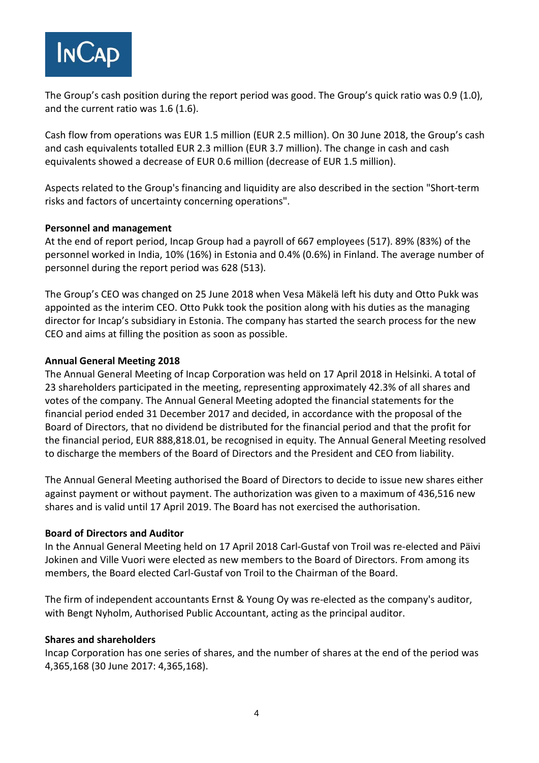

The Group's cash position during the report period was good. The Group's quick ratio was 0.9 (1.0), and the current ratio was 1.6 (1.6).

Cash flow from operations was EUR 1.5 million (EUR 2.5 million). On 30 June 2018, the Group's cash and cash equivalents totalled EUR 2.3 million (EUR 3.7 million). The change in cash and cash equivalents showed a decrease of EUR 0.6 million (decrease of EUR 1.5 million).

Aspects related to the Group's financing and liquidity are also described in the section "Short-term risks and factors of uncertainty concerning operations".

#### **Personnel and management**

At the end of report period, Incap Group had a payroll of 667 employees (517). 89% (83%) of the personnel worked in India, 10% (16%) in Estonia and 0.4% (0.6%) in Finland. The average number of personnel during the report period was 628 (513).

The Group's CEO was changed on 25 June 2018 when Vesa Mäkelä left his duty and Otto Pukk was appointed as the interim CEO. Otto Pukk took the position along with his duties as the managing director for Incap's subsidiary in Estonia. The company has started the search process for the new CEO and aims at filling the position as soon as possible.

#### **Annual General Meeting 2018**

The Annual General Meeting of Incap Corporation was held on 17 April 2018 in Helsinki. A total of 23 shareholders participated in the meeting, representing approximately 42.3% of all shares and votes of the company. The Annual General Meeting adopted the financial statements for the financial period ended 31 December 2017 and decided, in accordance with the proposal of the Board of Directors, that no dividend be distributed for the financial period and that the profit for the financial period, EUR 888,818.01, be recognised in equity. The Annual General Meeting resolved to discharge the members of the Board of Directors and the President and CEO from liability.

The Annual General Meeting authorised the Board of Directors to decide to issue new shares either against payment or without payment. The authorization was given to a maximum of 436,516 new shares and is valid until 17 April 2019. The Board has not exercised the authorisation.

#### **Board of Directors and Auditor**

In the Annual General Meeting held on 17 April 2018 Carl-Gustaf von Troil was re-elected and Päivi Jokinen and Ville Vuori were elected as new members to the Board of Directors. From among its members, the Board elected Carl-Gustaf von Troil to the Chairman of the Board.

The firm of independent accountants Ernst & Young Oy was re-elected as the company's auditor, with Bengt Nyholm, Authorised Public Accountant, acting as the principal auditor.

#### **Shares and shareholders**

Incap Corporation has one series of shares, and the number of shares at the end of the period was 4,365,168 (30 June 2017: 4,365,168).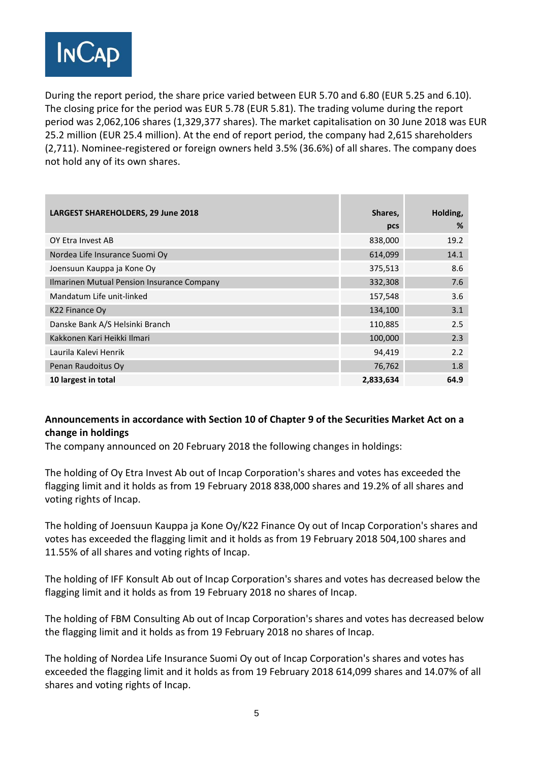

During the report period, the share price varied between EUR 5.70 and 6.80 (EUR 5.25 and 6.10). The closing price for the period was EUR 5.78 (EUR 5.81). The trading volume during the report period was 2,062,106 shares (1,329,377 shares). The market capitalisation on 30 June 2018 was EUR 25.2 million (EUR 25.4 million). At the end of report period, the company had 2,615 shareholders (2,711). Nominee-registered or foreign owners held 3.5% (36.6%) of all shares. The company does not hold any of its own shares.

| LARGEST SHAREHOLDERS, 29 June 2018         | Shares,<br>pcs | Holding,<br>% |
|--------------------------------------------|----------------|---------------|
|                                            |                |               |
| OY Etra Invest AB                          | 838,000        | 19.2          |
| Nordea Life Insurance Suomi Oy             | 614,099        | 14.1          |
| Joensuun Kauppa ja Kone Oy                 | 375,513        | 8.6           |
| Ilmarinen Mutual Pension Insurance Company | 332,308        | 7.6           |
| Mandatum Life unit-linked                  | 157,548        | 3.6           |
| K22 Finance Oy                             | 134,100        | 3.1           |
| Danske Bank A/S Helsinki Branch            | 110,885        | 2.5           |
| Kakkonen Kari Heikki Ilmari                | 100,000        | 2.3           |
| Laurila Kalevi Henrik                      | 94,419         | 2.2           |
| Penan Raudoitus Oy                         | 76,762         | 1.8           |
| 10 largest in total                        | 2,833,634      | 64.9          |

## **Announcements in accordance with Section 10 of Chapter 9 of the Securities Market Act on a change in holdings**

The company announced on 20 February 2018 the following changes in holdings:

The holding of Oy Etra Invest Ab out of Incap Corporation's shares and votes has exceeded the flagging limit and it holds as from 19 February 2018 838,000 shares and 19.2% of all shares and voting rights of Incap.

The holding of Joensuun Kauppa ja Kone Oy/K22 Finance Oy out of Incap Corporation's shares and votes has exceeded the flagging limit and it holds as from 19 February 2018 504,100 shares and 11.55% of all shares and voting rights of Incap.

The holding of IFF Konsult Ab out of Incap Corporation's shares and votes has decreased below the flagging limit and it holds as from 19 February 2018 no shares of Incap.

The holding of FBM Consulting Ab out of Incap Corporation's shares and votes has decreased below the flagging limit and it holds as from 19 February 2018 no shares of Incap.

The holding of Nordea Life Insurance Suomi Oy out of Incap Corporation's shares and votes has exceeded the flagging limit and it holds as from 19 February 2018 614,099 shares and 14.07% of all shares and voting rights of Incap.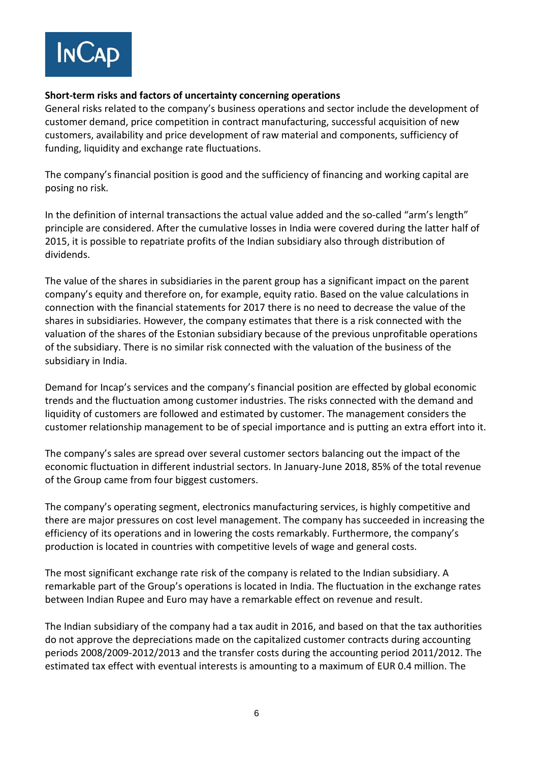

#### **Short-term risks and factors of uncertainty concerning operations**

General risks related to the company's business operations and sector include the development of customer demand, price competition in contract manufacturing, successful acquisition of new customers, availability and price development of raw material and components, sufficiency of funding, liquidity and exchange rate fluctuations.

The company's financial position is good and the sufficiency of financing and working capital are posing no risk.

In the definition of internal transactions the actual value added and the so-called "arm's length" principle are considered. After the cumulative losses in India were covered during the latter half of 2015, it is possible to repatriate profits of the Indian subsidiary also through distribution of dividends.

The value of the shares in subsidiaries in the parent group has a significant impact on the parent company's equity and therefore on, for example, equity ratio. Based on the value calculations in connection with the financial statements for 2017 there is no need to decrease the value of the shares in subsidiaries. However, the company estimates that there is a risk connected with the valuation of the shares of the Estonian subsidiary because of the previous unprofitable operations of the subsidiary. There is no similar risk connected with the valuation of the business of the subsidiary in India.

Demand for Incap's services and the company's financial position are effected by global economic trends and the fluctuation among customer industries. The risks connected with the demand and liquidity of customers are followed and estimated by customer. The management considers the customer relationship management to be of special importance and is putting an extra effort into it.

The company's sales are spread over several customer sectors balancing out the impact of the economic fluctuation in different industrial sectors. In January-June 2018, 85% of the total revenue of the Group came from four biggest customers.

The company's operating segment, electronics manufacturing services, is highly competitive and there are major pressures on cost level management. The company has succeeded in increasing the efficiency of its operations and in lowering the costs remarkably. Furthermore, the company's production is located in countries with competitive levels of wage and general costs.

The most significant exchange rate risk of the company is related to the Indian subsidiary. A remarkable part of the Group's operations is located in India. The fluctuation in the exchange rates between Indian Rupee and Euro may have a remarkable effect on revenue and result.

The Indian subsidiary of the company had a tax audit in 2016, and based on that the tax authorities do not approve the depreciations made on the capitalized customer contracts during accounting periods 2008/2009-2012/2013 and the transfer costs during the accounting period 2011/2012. The estimated tax effect with eventual interests is amounting to a maximum of EUR 0.4 million. The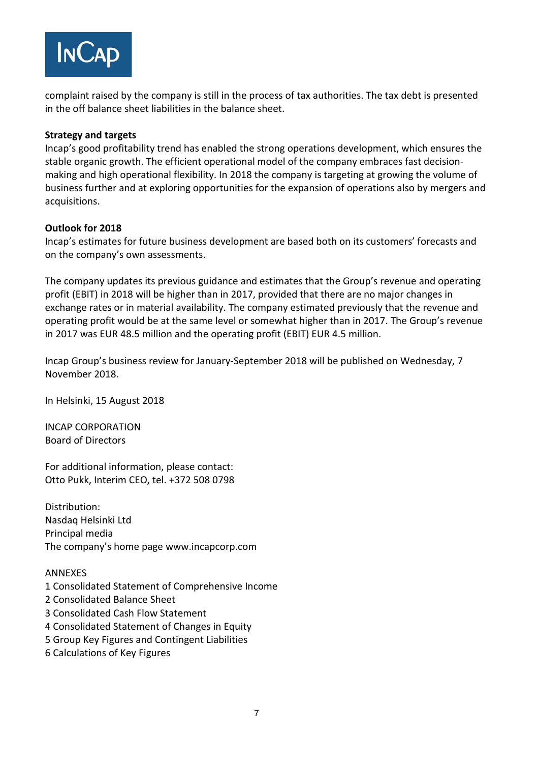

complaint raised by the company is still in the process of tax authorities. The tax debt is presented in the off balance sheet liabilities in the balance sheet.

#### **Strategy and targets**

Incap's good profitability trend has enabled the strong operations development, which ensures the stable organic growth. The efficient operational model of the company embraces fast decisionmaking and high operational flexibility. In 2018 the company is targeting at growing the volume of business further and at exploring opportunities for the expansion of operations also by mergers and acquisitions.

#### **Outlook for 2018**

Incap's estimates for future business development are based both on its customers' forecasts and on the company's own assessments.

The company updates its previous guidance and estimates that the Group's revenue and operating profit (EBIT) in 2018 will be higher than in 2017, provided that there are no major changes in exchange rates or in material availability. The company estimated previously that the revenue and operating profit would be at the same level or somewhat higher than in 2017. The Group's revenue in 2017 was EUR 48.5 million and the operating profit (EBIT) EUR 4.5 million.

Incap Group's business review for January-September 2018 will be published on Wednesday, 7 November 2018.

In Helsinki, 15 August 2018

INCAP CORPORATION Board of Directors

For additional information, please contact: Otto Pukk, Interim CEO, tel. +372 508 0798

Distribution: Nasdaq Helsinki Ltd Principal media The company's home page www.incapcorp.com

#### ANNEXES

- 1 Consolidated Statement of Comprehensive Income 2 Consolidated Balance Sheet 3 Consolidated Cash Flow Statement 4 Consolidated Statement of Changes in Equity 5 Group Key Figures and Contingent Liabilities
- 6 Calculations of Key Figures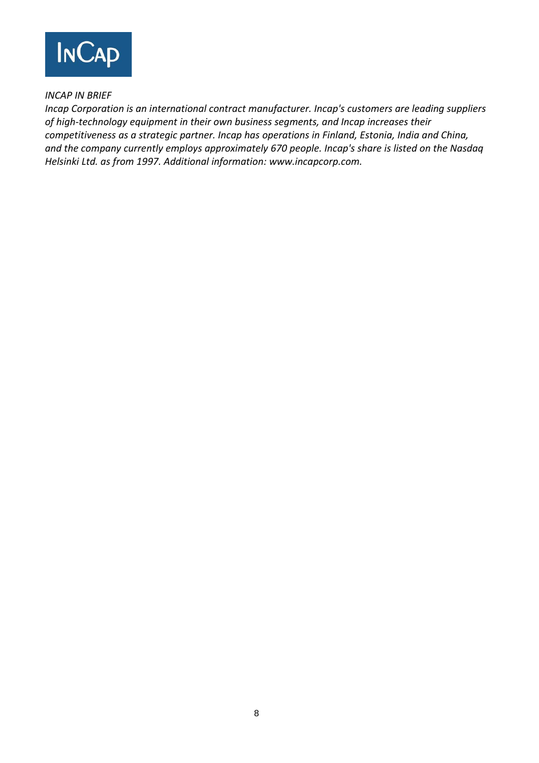

## *INCAP IN BRIEF*

*Incap Corporation is an international contract manufacturer. Incap's customers are leading suppliers of high-technology equipment in their own business segments, and Incap increases their competitiveness as a strategic partner. Incap has operations in Finland, Estonia, India and China, and the company currently employs approximately 670 people. Incap's share is listed on the Nasdaq Helsinki Ltd. as from 1997. Additional information: www.incapcorp.com.*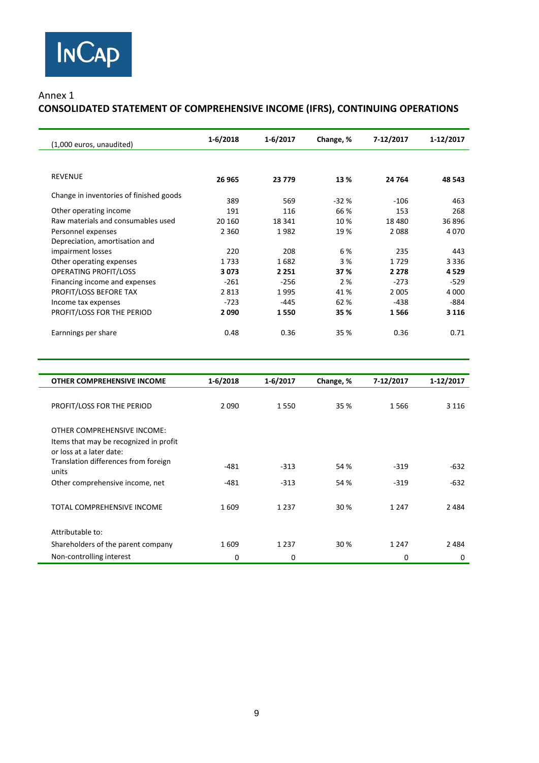#### Annex 1

# **CONSOLIDATED STATEMENT OF COMPREHENSIVE INCOME (IFRS), CONTINUING OPERATIONS**

| (1,000 euros, unaudited)                | $1 - 6/2018$ | $1 - 6/2017$ | Change, % | 7-12/2017 | 1-12/2017 |
|-----------------------------------------|--------------|--------------|-----------|-----------|-----------|
| <b>REVENUE</b>                          | 26 965       | 23 7 7 9     | 13 %      | 24 764    | 48 543    |
| Change in inventories of finished goods | 389          | 569          | $-32%$    | $-106$    | 463       |
| Other operating income                  | 191          | 116          | 66 %      | 153       | 268       |
| Raw materials and consumables used      | 20 160       | 18 341       | 10%       | 18480     | 36 896    |
| Personnel expenses                      | 2 3 6 0      | 1982         | 19%       | 2088      | 4070      |
| Depreciation, amortisation and          |              |              |           |           |           |
| impairment losses                       | 220          | 208          | 6 %       | 235       | 443       |
| Other operating expenses                | 1733         | 1682         | 3 %       | 1729      | 3 3 3 6   |
| <b>OPERATING PROFIT/LOSS</b>            | 3073         | 2 2 5 1      | 37 %      | 2 2 7 8   | 4529      |
| Financing income and expenses           | $-261$       | $-256$       | 2 %       | $-273$    | $-529$    |
| PROFIT/LOSS BEFORE TAX                  | 2813         | 1995         | 41 %      | 2 0 0 5   | 4 0 0 0   |
| Income tax expenses                     | $-723$       | $-445$       | 62 %      | $-438$    | $-884$    |
| PROFIT/LOSS FOR THE PERIOD              | 2090         | 1550         | 35 %      | 1566      | 3 1 1 6   |
| Earnnings per share                     | 0.48         | 0.36         | 35 %      | 0.36      | 0.71      |

| <b>OTHER COMPREHENSIVE INCOME</b>                                                                 | $1 - 6/2018$ | $1 - 6/2017$ | Change, % | 7-12/2017 | 1-12/2017 |
|---------------------------------------------------------------------------------------------------|--------------|--------------|-----------|-----------|-----------|
| PROFIT/LOSS FOR THE PERIOD                                                                        | 2090         | 1550         | 35 %      | 1566      | 3 1 1 6   |
| OTHER COMPREHENSIVE INCOME:<br>Items that may be recognized in profit<br>or loss at a later date: |              |              |           |           |           |
| Translation differences from foreign<br>units                                                     | $-481$       | $-313$       | 54 %      | $-319$    | $-632$    |
| Other comprehensive income, net                                                                   | -481         | $-313$       | 54 %      | $-319$    | $-632$    |
| TOTAL COMPREHENSIVE INCOME                                                                        | 1609         | 1 2 3 7      | 30 %      | 1 2 4 7   | 2484      |
| Attributable to:                                                                                  |              |              |           |           |           |
| Shareholders of the parent company                                                                | 1609         | 1 2 3 7      | 30 %      | 1 2 4 7   | 2484      |
| Non-controlling interest                                                                          | 0            | 0            |           | $\Omega$  | 0         |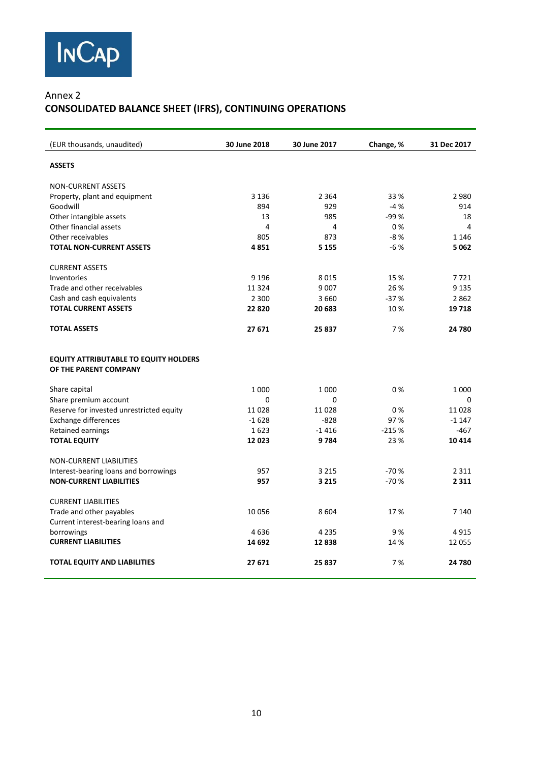

## Annex 2 **CONSOLIDATED BALANCE SHEET (IFRS), CONTINUING OPERATIONS**

| (EUR thousands, unaudited)                                            | 30 June 2018 | 30 June 2017 | Change, % | 31 Dec 2017 |
|-----------------------------------------------------------------------|--------------|--------------|-----------|-------------|
| <b>ASSETS</b>                                                         |              |              |           |             |
| <b>NON-CURRENT ASSETS</b>                                             |              |              |           |             |
| Property, plant and equipment                                         | 3 1 3 6      | 2 3 6 4      | 33 %      | 2980        |
| Goodwill                                                              | 894          | 929          | $-4%$     | 914         |
| Other intangible assets                                               | 13           | 985          | $-99%$    | 18          |
| Other financial assets                                                | 4            | 4            | 0%        | 4           |
| Other receivables                                                     | 805          | 873          | $-8%$     | 1 1 4 6     |
| <b>TOTAL NON-CURRENT ASSETS</b>                                       | 4851         | 5 1 5 5      | $-6%$     | 5062        |
| <b>CURRENT ASSETS</b>                                                 |              |              |           |             |
| Inventories                                                           | 9 1 9 6      | 8015         | 15 %      | 7721        |
| Trade and other receivables                                           | 11324        | 9 0 0 7      | 26 %      | 9 1 3 5     |
| Cash and cash equivalents                                             | 2 3 0 0      | 3660         | $-37%$    | 2862        |
| <b>TOTAL CURRENT ASSETS</b>                                           | 22820        | 20 683       | 10%       | 19718       |
| <b>TOTAL ASSETS</b>                                                   | 27 671       | 25 837       | 7 %       | 24 780      |
| <b>EQUITY ATTRIBUTABLE TO EQUITY HOLDERS</b><br>OF THE PARENT COMPANY |              |              |           |             |
| Share capital                                                         | 1 0 0 0      | 1 0 0 0      | 0%        | 1 0 0 0     |
| Share premium account                                                 | $\Omega$     | 0            |           | 0           |
| Reserve for invested unrestricted equity                              | 11028        | 11028        | 0%        | 11028       |
| <b>Exchange differences</b>                                           | $-1628$      | $-828$       | 97%       | $-1147$     |
| <b>Retained earnings</b>                                              | 1623         | $-1416$      | $-215%$   | $-467$      |
| <b>TOTAL EQUITY</b>                                                   | 12023        | 9784         | 23 %      | 10 4 14     |
| NON-CURRENT LIABILITIES                                               |              |              |           |             |
| Interest-bearing loans and borrowings                                 | 957          | 3 2 1 5      | $-70%$    | 2 3 1 1     |
| <b>NON-CURRENT LIABILITIES</b>                                        | 957          | 3 2 1 5      | $-70%$    | 2 3 1 1     |
| <b>CURRENT LIABILITIES</b>                                            |              |              |           |             |
| Trade and other payables<br>Current interest-bearing loans and        | 10056        | 8604         | 17%       | 7 1 4 0     |
| borrowings                                                            | 4636         | 4 2 3 5      | 9%        | 4915        |
| <b>CURRENT LIABILITIES</b>                                            | 14 692       | 12838        | 14 %      | 12 055      |
| <b>TOTAL EQUITY AND LIABILITIES</b>                                   | 27 671       | 25 837       | 7%        | 24 780      |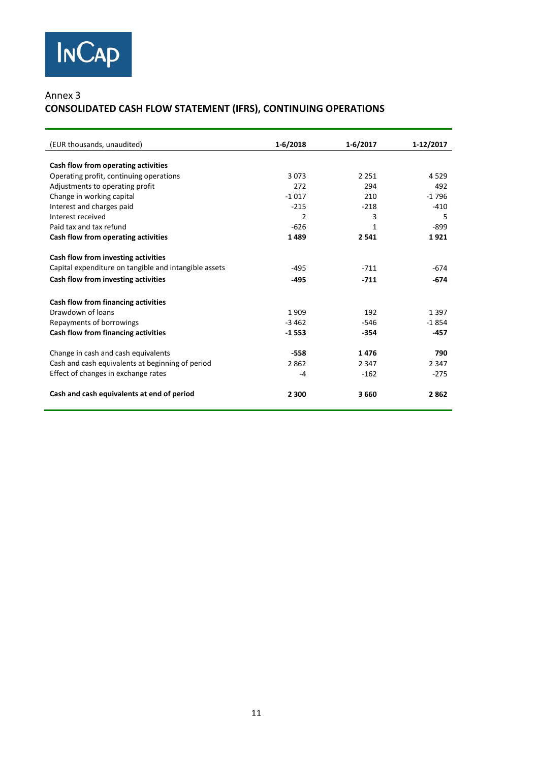## Annex 3 **CONSOLIDATED CASH FLOW STATEMENT (IFRS), CONTINUING OPERATIONS**

| (EUR thousands, unaudited)                            | $1 - 6/2018$   | 1-6/2017 | 1-12/2017 |
|-------------------------------------------------------|----------------|----------|-----------|
|                                                       |                |          |           |
| Cash flow from operating activities                   |                |          |           |
| Operating profit, continuing operations               | 3073           | 2 2 5 1  | 4 5 2 9   |
| Adjustments to operating profit                       | 272            | 294      | 492       |
| Change in working capital                             | $-1017$        | 210      | $-1796$   |
| Interest and charges paid                             | $-215$         | $-218$   | $-410$    |
| Interest received                                     | $\overline{2}$ | 3        | 5         |
| Paid tax and tax refund                               | $-626$         | 1        | $-899$    |
| Cash flow from operating activities                   | 1489           | 2 5 4 1  | 1921      |
| Cash flow from investing activities                   |                |          |           |
| Capital expenditure on tangible and intangible assets | -495           | $-711$   | $-674$    |
| Cash flow from investing activities                   | $-495$         | $-711$   | -674      |
| Cash flow from financing activities                   |                |          |           |
| Drawdown of Joans                                     | 1909           | 192      | 1 3 9 7   |
| Repayments of borrowings                              | $-3462$        | $-546$   | $-1854$   |
| Cash flow from financing activities                   | $-1553$        | $-354$   | $-457$    |
| Change in cash and cash equivalents                   | $-558$         | 1476     | 790       |
| Cash and cash equivalents at beginning of period      | 2862           | 2 3 4 7  | 2 3 4 7   |
| Effect of changes in exchange rates                   | $-4$           | $-162$   | $-275$    |
| Cash and cash equivalents at end of period            | 2 3 0 0        | 3660     | 2862      |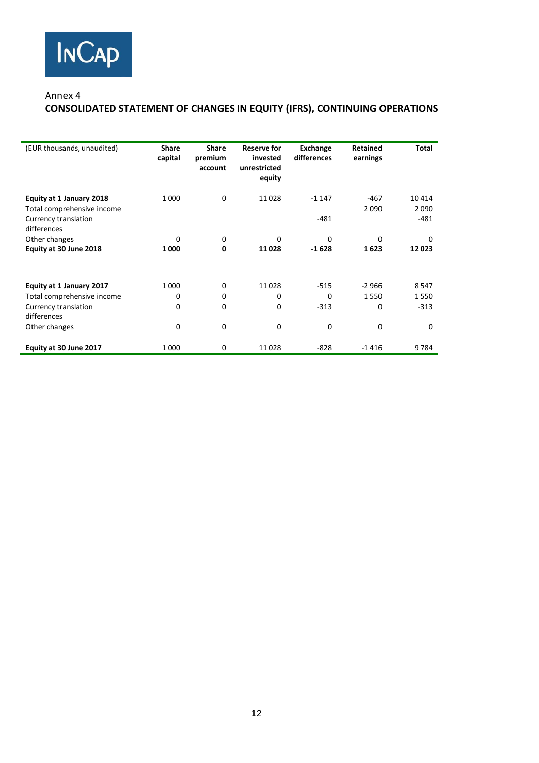

#### Annex 4

## **CONSOLIDATED STATEMENT OF CHANGES IN EQUITY (IFRS), CONTINUING OPERATIONS**

| (EUR thousands, unaudited)                                                                                     | <b>Share</b><br>capital | <b>Share</b><br>premium<br>account | <b>Reserve for</b><br>invested<br>unrestricted<br>equity | Exchange<br>differences           | <b>Retained</b><br>earnings         | Total                                    |
|----------------------------------------------------------------------------------------------------------------|-------------------------|------------------------------------|----------------------------------------------------------|-----------------------------------|-------------------------------------|------------------------------------------|
| Equity at 1 January 2018<br>Total comprehensive income<br>Currency translation<br>differences                  | 1 0 0 0                 | 0                                  | 11028                                                    | $-1147$<br>$-481$                 | $-467$<br>2090                      | 10414<br>2090<br>$-481$                  |
| Other changes<br>Equity at 30 June 2018                                                                        | 0<br>1 000              | 0<br>0                             | $\Omega$<br>11 0 28                                      | $\Omega$<br>$-1628$               | $\Omega$<br>1623                    | $\Omega$<br>12023                        |
| Equity at 1 January 2017<br>Total comprehensive income<br>Currency translation<br>differences<br>Other changes | 1 0 0 0<br>0<br>0<br>0  | 0<br>0<br>0<br>0                   | 11028<br>0<br>0<br>0                                     | $-515$<br>$\Omega$<br>$-313$<br>0 | $-2966$<br>1550<br>0<br>$\mathbf 0$ | 8 5 4 7<br>1550<br>$-313$<br>$\mathbf 0$ |
| Equity at 30 June 2017                                                                                         | 1 000                   | 0                                  | 11028                                                    | $-828$                            | $-1416$                             | 9784                                     |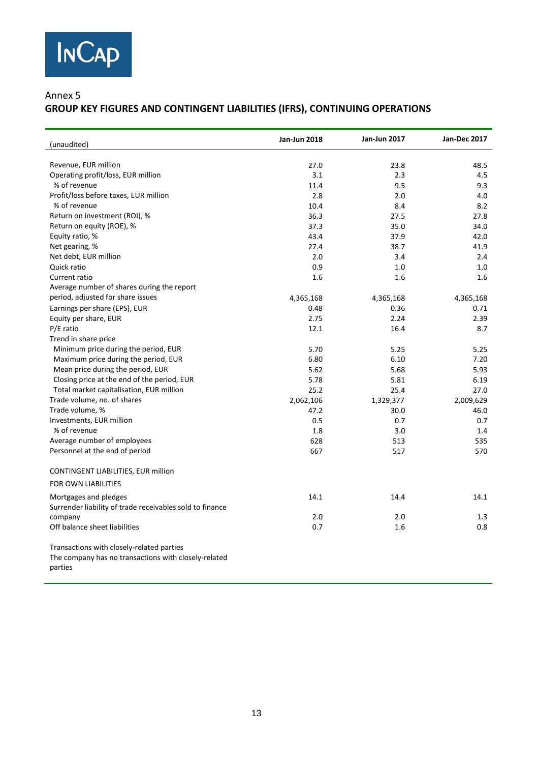

#### Annex 5

# **GROUP KEY FIGURES AND CONTINGENT LIABILITIES (IFRS), CONTINUING OPERATIONS**

| (unaudited)                                                     | <b>Jan-Jun 2018</b> | <b>Jan-Jun 2017</b> | <b>Jan-Dec 2017</b> |
|-----------------------------------------------------------------|---------------------|---------------------|---------------------|
| Revenue, EUR million                                            | 27.0                | 23.8                | 48.5                |
| Operating profit/loss, EUR million                              | 3.1                 | 2.3                 | 4.5                 |
| % of revenue                                                    | 11.4                | 9.5                 | 9.3                 |
| Profit/loss before taxes, EUR million                           | 2.8                 | 2.0                 | 4.0                 |
| % of revenue                                                    | 10.4                | 8.4                 | 8.2                 |
| Return on investment (ROI), %                                   | 36.3                | 27.5                | 27.8                |
| Return on equity (ROE), %                                       | 37.3                | 35.0                | 34.0                |
| Equity ratio, %                                                 | 43.4                | 37.9                | 42.0                |
| Net gearing, %                                                  | 27.4                | 38.7                | 41.9                |
| Net debt, EUR million                                           | 2.0                 | 3.4                 | 2.4                 |
| Quick ratio                                                     | 0.9                 | 1.0                 | 1.0                 |
| Current ratio                                                   | 1.6                 | 1.6                 | 1.6                 |
| Average number of shares during the report                      |                     |                     |                     |
| period, adjusted for share issues                               | 4,365,168           | 4,365,168           | 4,365,168           |
| Earnings per share (EPS), EUR                                   | 0.48                | 0.36                | 0.71                |
| Equity per share, EUR                                           | 2.75                | 2.24                | 2.39                |
| P/E ratio                                                       | 12.1                | 16.4                | 8.7                 |
| Trend in share price                                            |                     |                     |                     |
| Minimum price during the period, EUR                            | 5.70                | 5.25                | 5.25                |
| Maximum price during the period, EUR                            | 6.80                | 6.10                | 7.20                |
| Mean price during the period, EUR                               | 5.62                | 5.68                | 5.93                |
| Closing price at the end of the period, EUR                     | 5.78                | 5.81                | 6.19                |
| Total market capitalisation, EUR million                        | 25.2                | 25.4                | 27.0                |
| Trade volume, no. of shares                                     | 2,062,106           | 1,329,377           | 2,009,629           |
| Trade volume, %                                                 | 47.2                | 30.0                | 46.0                |
| Investments, EUR million                                        | 0.5                 | 0.7                 | 0.7                 |
| % of revenue                                                    | 1.8                 | 3.0                 | 1.4                 |
| Average number of employees                                     | 628                 | 513                 | 535                 |
| Personnel at the end of period                                  | 667                 | 517                 | 570                 |
| CONTINGENT LIABILITIES, EUR million                             |                     |                     |                     |
| <b>FOR OWN LIABILITIES</b>                                      |                     |                     |                     |
| Mortgages and pledges                                           | 14.1                | 14.4                | 14.1                |
| Surrender liability of trade receivables sold to finance        |                     |                     |                     |
| company                                                         | 2.0                 | 2.0                 | 1.3                 |
| Off balance sheet liabilities                                   | 0.7                 | 1.6                 | 0.8                 |
| Transactions with closely-related parties                       |                     |                     |                     |
| The company has no transactions with closely-related<br>parties |                     |                     |                     |